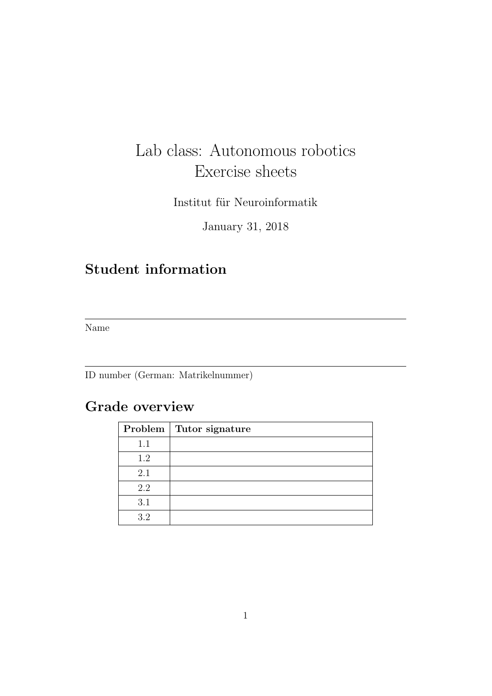# Lab class: Autonomous robotics Exercise sheets

Institut für Neuroinformatik

January 31, 2018

# Student information

Name

ID number (German: Matrikelnummer)

## Grade overview

|     | Problem   Tutor signature |
|-----|---------------------------|
| 1.1 |                           |
| 1.2 |                           |
| 2.1 |                           |
| 2.2 |                           |
| 3.1 |                           |
| 3.2 |                           |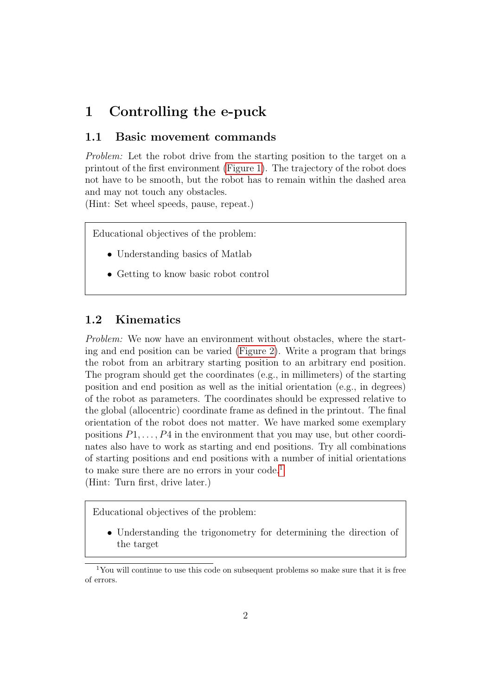### 1 Controlling the e-puck

#### 1.1 Basic movement commands

Problem: Let the robot drive from the starting position to the target on a printout of the first environment [\(Figure 1\)](#page-2-0). The trajectory of the robot does not have to be smooth, but the robot has to remain within the dashed area and may not touch any obstacles.

(Hint: Set wheel speeds, pause, repeat.)

Educational objectives of the problem:

- Understanding basics of Matlab
- Getting to know basic robot control

#### 1.2 Kinematics

Problem: We now have an environment without obstacles, where the starting and end position can be varied [\(Figure 2\)](#page-3-0). Write a program that brings the robot from an arbitrary starting position to an arbitrary end position. The program should get the coordinates (e.g., in millimeters) of the starting position and end position as well as the initial orientation (e.g., in degrees) of the robot as parameters. The coordinates should be expressed relative to the global (allocentric) coordinate frame as defined in the printout. The final orientation of the robot does not matter. We have marked some exemplary positions  $P_1, \ldots, P_4$  in the environment that you may use, but other coordinates also have to work as starting and end positions. Try all combinations of starting positions and end positions with a number of initial orientations to make sure there are no errors in your code.<sup>[1](#page-1-0)</sup> (Hint: Turn first, drive later.)

Educational objectives of the problem:

• Understanding the trigonometry for determining the direction of the target

<span id="page-1-0"></span><sup>&</sup>lt;sup>1</sup>You will continue to use this code on subsequent problems so make sure that it is free of errors.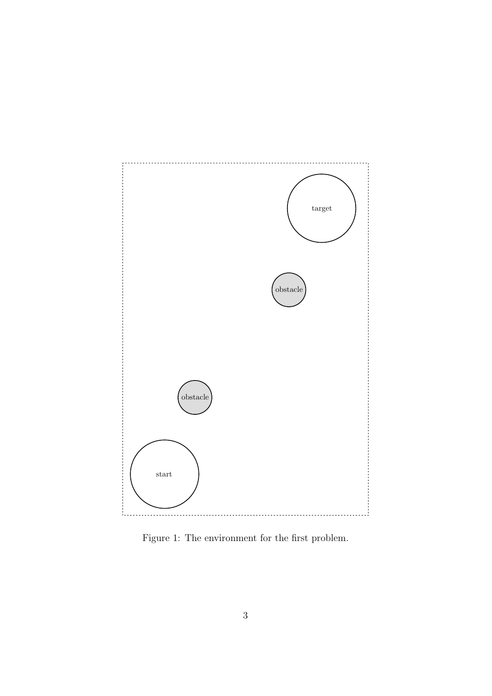

<span id="page-2-0"></span>Figure 1: The environment for the first problem.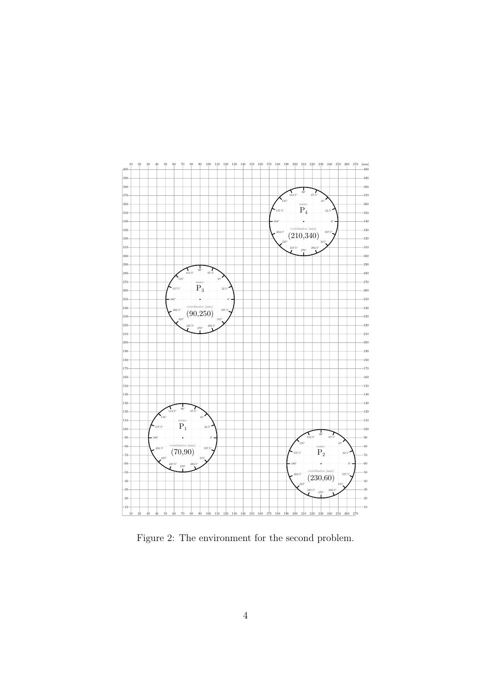

<span id="page-3-0"></span>Figure 2: The environment for the second problem.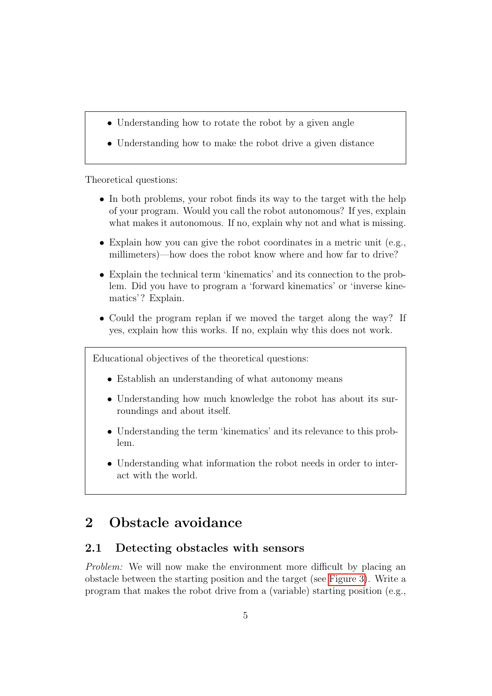- Understanding how to rotate the robot by a given angle
- Understanding how to make the robot drive a given distance

Theoretical questions:

- In both problems, your robot finds its way to the target with the help of your program. Would you call the robot autonomous? If yes, explain what makes it autonomous. If no, explain why not and what is missing.
- Explain how you can give the robot coordinates in a metric unit (e.g., millimeters)—how does the robot know where and how far to drive?
- Explain the technical term 'kinematics' and its connection to the problem. Did you have to program a 'forward kinematics' or 'inverse kinematics'? Explain.
- Could the program replan if we moved the target along the way? If yes, explain how this works. If no, explain why this does not work.

Educational objectives of the theoretical questions:

- Establish an understanding of what autonomy means
- Understanding how much knowledge the robot has about its surroundings and about itself.
- Understanding the term 'kinematics' and its relevance to this problem.
- Understanding what information the robot needs in order to interact with the world.

### 2 Obstacle avoidance

### 2.1 Detecting obstacles with sensors

Problem: We will now make the environment more difficult by placing an obstacle between the starting position and the target (see [Figure 3\)](#page-6-0). Write a program that makes the robot drive from a (variable) starting position (e.g.,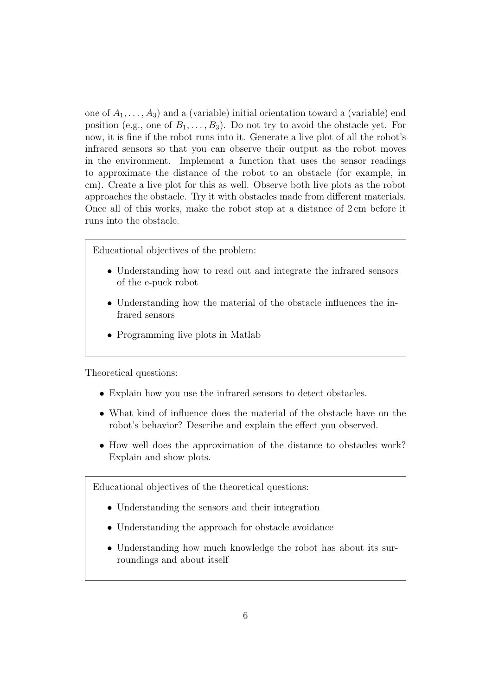one of  $A_1, \ldots, A_3$  and a (variable) initial orientation toward a (variable) end position (e.g., one of  $B_1, \ldots, B_3$ ). Do not try to avoid the obstacle yet. For now, it is fine if the robot runs into it. Generate a live plot of all the robot's infrared sensors so that you can observe their output as the robot moves in the environment. Implement a function that uses the sensor readings to approximate the distance of the robot to an obstacle (for example, in cm). Create a live plot for this as well. Observe both live plots as the robot approaches the obstacle. Try it with obstacles made from different materials. Once all of this works, make the robot stop at a distance of 2 cm before it runs into the obstacle.

Educational objectives of the problem:

- Understanding how to read out and integrate the infrared sensors of the e-puck robot
- Understanding how the material of the obstacle influences the infrared sensors
- Programming live plots in Matlab

Theoretical questions:

- Explain how you use the infrared sensors to detect obstacles.
- What kind of influence does the material of the obstacle have on the robot's behavior? Describe and explain the effect you observed.
- How well does the approximation of the distance to obstacles work? Explain and show plots.

Educational objectives of the theoretical questions:

- Understanding the sensors and their integration
- Understanding the approach for obstacle avoidance
- Understanding how much knowledge the robot has about its surroundings and about itself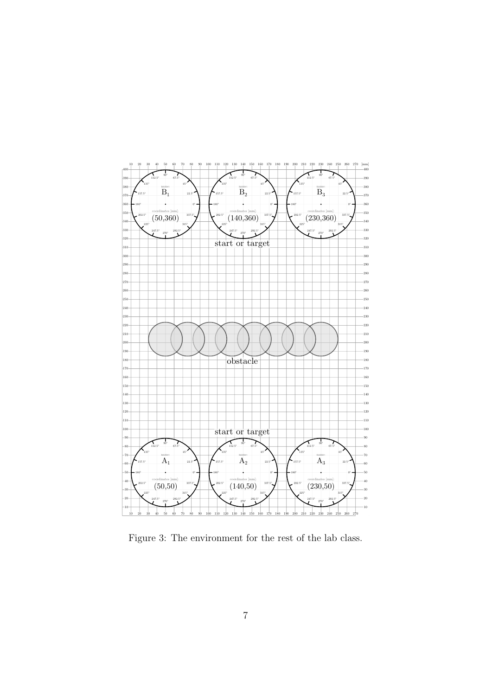

<span id="page-6-0"></span>Figure 3: The environment for the rest of the lab class.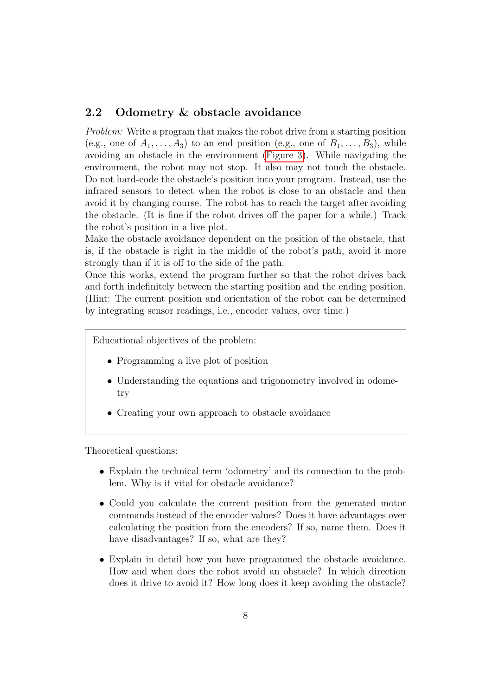### 2.2 Odometry & obstacle avoidance

Problem: Write a program that makes the robot drive from a starting position (e.g., one of  $A_1, \ldots, A_3$ ) to an end position (e.g., one of  $B_1, \ldots, B_3$ ), while avoiding an obstacle in the environment [\(Figure 3\)](#page-6-0). While navigating the environment, the robot may not stop. It also may not touch the obstacle. Do not hard-code the obstacle's position into your program. Instead, use the infrared sensors to detect when the robot is close to an obstacle and then avoid it by changing course. The robot has to reach the target after avoiding the obstacle. (It is fine if the robot drives off the paper for a while.) Track the robot's position in a live plot.

Make the obstacle avoidance dependent on the position of the obstacle, that is, if the obstacle is right in the middle of the robot's path, avoid it more strongly than if it is off to the side of the path.

Once this works, extend the program further so that the robot drives back and forth indefinitely between the starting position and the ending position. (Hint: The current position and orientation of the robot can be determined by integrating sensor readings, i.e., encoder values, over time.)

Educational objectives of the problem:

- Programming a live plot of position
- Understanding the equations and trigonometry involved in odometry
- Creating your own approach to obstacle avoidance

Theoretical questions:

- Explain the technical term 'odometry' and its connection to the problem. Why is it vital for obstacle avoidance?
- Could you calculate the current position from the generated motor commands instead of the encoder values? Does it have advantages over calculating the position from the encoders? If so, name them. Does it have disadvantages? If so, what are they?
- Explain in detail how you have programmed the obstacle avoidance. How and when does the robot avoid an obstacle? In which direction does it drive to avoid it? How long does it keep avoiding the obstacle?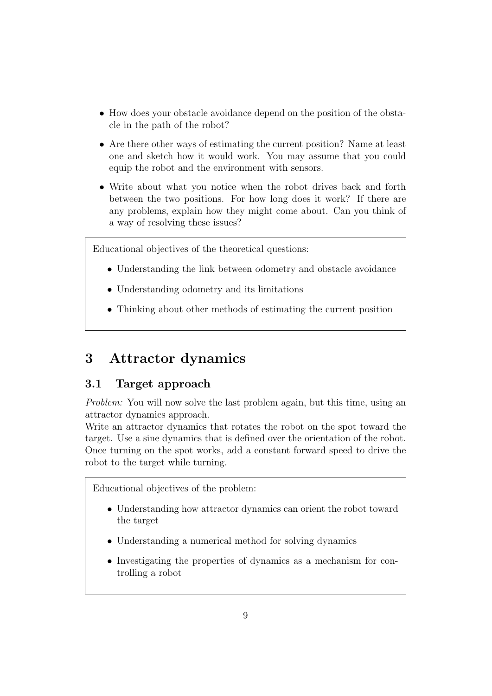- How does your obstacle avoidance depend on the position of the obstacle in the path of the robot?
- Are there other ways of estimating the current position? Name at least one and sketch how it would work. You may assume that you could equip the robot and the environment with sensors.
- Write about what you notice when the robot drives back and forth between the two positions. For how long does it work? If there are any problems, explain how they might come about. Can you think of a way of resolving these issues?

Educational objectives of the theoretical questions:

- Understanding the link between odometry and obstacle avoidance
- Understanding odometry and its limitations
- Thinking about other methods of estimating the current position

### 3 Attractor dynamics

### 3.1 Target approach

Problem: You will now solve the last problem again, but this time, using an attractor dynamics approach.

Write an attractor dynamics that rotates the robot on the spot toward the target. Use a sine dynamics that is defined over the orientation of the robot. Once turning on the spot works, add a constant forward speed to drive the robot to the target while turning.

Educational objectives of the problem:

- Understanding how attractor dynamics can orient the robot toward the target
- Understanding a numerical method for solving dynamics
- Investigating the properties of dynamics as a mechanism for controlling a robot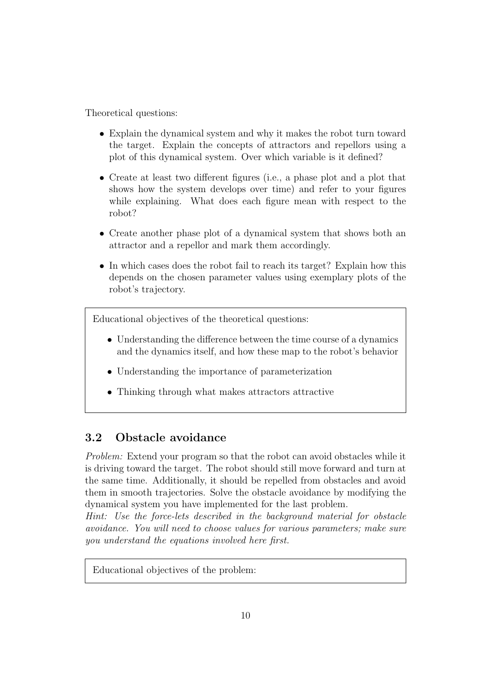Theoretical questions:

- Explain the dynamical system and why it makes the robot turn toward the target. Explain the concepts of attractors and repellors using a plot of this dynamical system. Over which variable is it defined?
- Create at least two different figures (i.e., a phase plot and a plot that shows how the system develops over time) and refer to your figures while explaining. What does each figure mean with respect to the robot?
- Create another phase plot of a dynamical system that shows both an attractor and a repellor and mark them accordingly.
- In which cases does the robot fail to reach its target? Explain how this depends on the chosen parameter values using exemplary plots of the robot's trajectory.

Educational objectives of the theoretical questions:

- Understanding the difference between the time course of a dynamics and the dynamics itself, and how these map to the robot's behavior
- Understanding the importance of parameterization
- Thinking through what makes attractors attractive

### 3.2 Obstacle avoidance

Problem: Extend your program so that the robot can avoid obstacles while it is driving toward the target. The robot should still move forward and turn at the same time. Additionally, it should be repelled from obstacles and avoid them in smooth trajectories. Solve the obstacle avoidance by modifying the dynamical system you have implemented for the last problem.

Hint: Use the force-lets described in the background material for obstacle avoidance. You will need to choose values for various parameters; make sure you understand the equations involved here first.

Educational objectives of the problem: